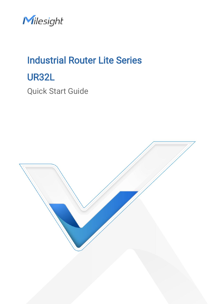Milesight

# Industrial Router Lite Series UR32L Quick Start Guide

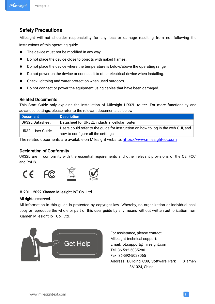### Safety Precautions

Milesight will not shoulder responsibility for any loss or damage resulting from not following the instructions of this operating guide.

- The device must not be modified in any way.
- $\bullet$  Do not place the device close to objects with naked flames.
- Do not place the device where the temperature is below/above the operating range.
- Do not power on the device or connect it to other electrical device when installing.
- Check lightning and water protection when used outdoors.
- Do not connect or power the equipment using cables that have been damaged.

#### Related Documents

This Start Guide only explains the installation of Milesight UR32L router. For more functionality and advanced settings, please refer to the relevant documents as below.

| Document         | <b>Description</b>                                                               |
|------------------|----------------------------------------------------------------------------------|
| UR32L Datasheet  | Datasheet for UR32L industrial cellular router.                                  |
| UR32L User Guide | Users could refer to the guide for instruction on how to log in the web GUI, and |
|                  | how to configure all the settings.                                               |

The related documents are available on Milesight website: [https://www.milesight-iot.com](https://www.milesight-iot.com/)

#### Declaration of Conformity

UR32L are in conformity with the essential requirements and other relevant provisions of the CE, FCC, and RoHS.



#### © 2011-2022 Xiamen Milesight IoT Co., Ltd.

#### All rights reserved.

All information in this guide is protected by copyright law. Whereby, no organization or individual shall copy or reproduce the whole or part of this user guide by any means without written authorization from Xiamen Milesight IoT Co., Ltd.



For assistance, please contact Milesight technical support: Email: iot.support@milesight.com Tel: 86-592-5085280 Fax: 86-592-5023065 Address: Building C09, Software Park III, Xiamen 361024, China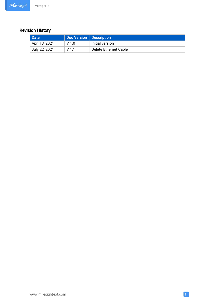### Revision History

| Date                       | Doc Version   Description |                       |
|----------------------------|---------------------------|-----------------------|
| Apr. 13, 2021 <sup>.</sup> | $V$ 1 $\Omega$            | Initial version       |
| July 22, 2021              | V 1 1                     | Delete Ethernet Cable |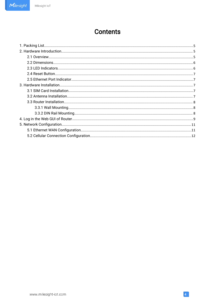### **Contents**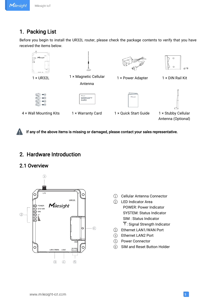#### Milesight IoT

### <span id="page-4-1"></span><span id="page-4-0"></span>1. Packing List

Before you begin to install the UR32L router, please check the package contents to verify that you have received the items below.



If any of the above items is missing or damaged, please contact your sales representative.

### 2. Hardware Introduction

#### 2.1 Overview



- 1 Cellular Antenna Connector
- 2 LED Indicator Area POWER: Power Indicator SYSTEM: Status Indicator SIM : Status Indicator : Signal Strength Indicator
- 3 Ethernet LAN1/WAN Port
- 4 Ethernet LAN2 Port
- 5 Power Connector
- 6 SIM and Reset Button Holder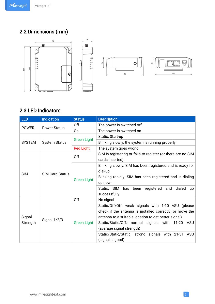### <span id="page-5-0"></span>2.2 Dimensions (mm)



### 2.3 LED Indicators

| <b>LED</b>         | <b>Indication</b>      | <b>Status</b>      | <b>Description</b>                                                                                                                                                     |                                                                         |  |
|--------------------|------------------------|--------------------|------------------------------------------------------------------------------------------------------------------------------------------------------------------------|-------------------------------------------------------------------------|--|
|                    |                        | Off                | The power is switched off                                                                                                                                              |                                                                         |  |
| <b>POWER</b>       | <b>Power Status</b>    | On                 | The power is switched on                                                                                                                                               |                                                                         |  |
|                    |                        |                    | Static: Start-up                                                                                                                                                       |                                                                         |  |
| <b>SYSTEM</b>      | <b>System Status</b>   | <b>Green Light</b> | Blinking slowly: the system is running properly                                                                                                                        |                                                                         |  |
|                    |                        | <b>Red Light</b>   | The system goes wrong                                                                                                                                                  |                                                                         |  |
|                    |                        | Off                | SIM is registering or fails to register (or there are no SIM<br>cards inserted)                                                                                        |                                                                         |  |
|                    | <b>SIM Card Status</b> | <b>Green Light</b> | Blinking slowly: SIM has been registered and is ready for<br>dial-up                                                                                                   |                                                                         |  |
| <b>SIM</b>         |                        |                    | Blinking rapidly: SIM has been registered and is dialing<br>up now                                                                                                     |                                                                         |  |
|                    |                        |                    | been registered and dialed<br>Static: SIM<br>has<br><b>up</b><br>successfully                                                                                          |                                                                         |  |
|                    |                        | Off                | No signal                                                                                                                                                              |                                                                         |  |
| Signal<br>Strength | <b>Signal 1/2/3</b>    |                    | Static/Off/Off: weak signals with 1-10 ASU (please<br>check if the antenna is installed correctly, or move the<br>antenna to a suitable location to get better signal) |                                                                         |  |
|                    |                        | <b>Green Light</b> | Static/Static/Off: normal signals with 11-20<br>ASU<br>(average signal strength)                                                                                       |                                                                         |  |
|                    |                        |                    |                                                                                                                                                                        | Static/Static/Static: strong signals with 21-31 ASU<br>(signal is good) |  |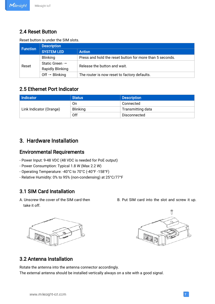#### Milesight IoT

### <span id="page-6-1"></span><span id="page-6-0"></span>2.4 Reset Button

#### Reset button is under the SIM slots.

| <b>Function</b> | <b>Description</b>                                    |                                                          |  |  |  |  |  |
|-----------------|-------------------------------------------------------|----------------------------------------------------------|--|--|--|--|--|
|                 | <b>SYSTEM LED</b>                                     | <b>Action</b>                                            |  |  |  |  |  |
|                 | <b>Blinking</b>                                       | Press and hold the reset button for more than 5 seconds. |  |  |  |  |  |
| Reset           | Static Green $\rightarrow$<br><b>Rapidly Blinking</b> | Release the button and wait.                             |  |  |  |  |  |
|                 | Off $\rightarrow$ Blinking                            | The router is now reset to factory defaults.             |  |  |  |  |  |

#### 2.5 Ethernet Port Indicator

| Indicator               | <b>Status</b>   | <b>Description</b> |  |  |
|-------------------------|-----------------|--------------------|--|--|
|                         | On              | Connected          |  |  |
| Link Indicator (Orange) | <b>Blinking</b> | Transmitting data  |  |  |
|                         | Off             | Disconnected       |  |  |

### 3. Hardware Installation

#### Environmental Requirements

- Power Input: 9-48 VDC (48 VDC is needed for PoE output)
- Power Consumption: Typical 1.8 W (Max 2.2 W)
- Operating Temperature: -40°C to 70°C (-40°F -158°F)
- Relative Humidity: 0% to 95% (non-condensing) at 25°C/77°F

### 3.1 SIM Card Installation

take it off.







### 3.2 Antenna Installation

Rotate the antenna into the antenna connector accordingly. The external antenna should be installed vertically always on a site with a good signal.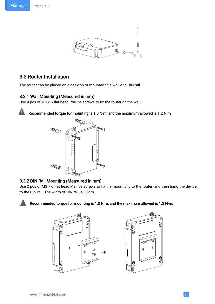<span id="page-7-0"></span>Milesight



#### 3.3 Router Installation

The router can be placed on a desktop or mounted to a wall or a DIN rail.

#### 3.3.1 Wall Mounting (Measured in mm)

Use 4 pcs of M3  $\times$  6 flat head Phillips screws to fix the router on the wall.



Recommended torque for mounting is 1.0 N·m, and the maximum allowed is 1.2 N·m.



#### 3.3.2 DIN Rail Mounting (Measured in mm)

Use 2 pcs of M3 × 6 flat head Phillips screws to fix the mount clip to the router, and then hang the device to the DIN rail. The width of DIN rail is 3.5cm.



#### Recommended torque for mounting is 1.0 N·m, and the maximum allowed is 1.2 N·m.



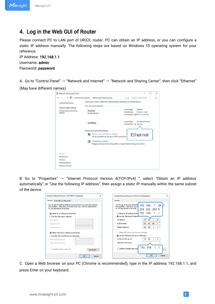### <span id="page-8-0"></span>4. Log in the Web GUI of Router

Please connect PC to LAN port of UR32L router. PC can obtain an IP address, or you can configure a static IP address manually. The following steps are based on Windows 10 operating system for your reference.

IP Address: 192.168.1.1 Username: admin Password: password

A. Go to "Control Panel" → "Network and Internet" → "Network and Sharing Center", then click "Ethernet" (May have different names).

| et Metwork and Internet > Network and Sharing Center                                    | Search Control Panel<br>$~\vee$ 0<br>p                                                         |  |  |  |
|-----------------------------------------------------------------------------------------|------------------------------------------------------------------------------------------------|--|--|--|
| View your basic network information and set up connections<br>View your active networks |                                                                                                |  |  |  |
| Yeastar5G<br>Private network                                                            | Internet<br>Access type:<br>HomeGroup:<br>Ready to create<br>Connections: MI Wi-Fi (Yeastar5G) |  |  |  |
| Identifying                                                                             | No network access<br>Access type:<br>Connections:<br>Ð<br>Ethernet                             |  |  |  |
| Change your networking settings                                                         |                                                                                                |  |  |  |
| Set up a new connection or network<br>Set up a broadband, dial-up, or VPN connection;   | Ethernet                                                                                       |  |  |  |
| Troubleshoot problems                                                                   | Diagnose and repair network problems, or get troubleshooting information.                      |  |  |  |
|                                                                                         |                                                                                                |  |  |  |
|                                                                                         |                                                                                                |  |  |  |
|                                                                                         |                                                                                                |  |  |  |
|                                                                                         |                                                                                                |  |  |  |
|                                                                                         |                                                                                                |  |  |  |

B. Go to "Properties"  $\rightarrow$  "Internet Protocol Version 4(TCP/IPv4) ", select "Obtain an IP address automatically" or "Use the following IP address", then assign a static IP manually within the same subnet of the device.

| Internet Protocol Version 4 (TCP/IPv4) Properties                                                                                                                                     | $\times$<br>Internet Protocol Version 4 (TCP/IPv4) Properties                                             |                               |
|---------------------------------------------------------------------------------------------------------------------------------------------------------------------------------------|-----------------------------------------------------------------------------------------------------------|-------------------------------|
| General<br>Alternate Configuration                                                                                                                                                    | General                                                                                                   |                               |
| You can get IP settings assigned automatically if your network supports<br>this capability. Otherwise, you need to ask your network administrator<br>for the appropriate IP settings. | You can get IP settings assigned<br>this capability. Otherwise, you ne<br>for the appropriate IP settngs. | 192.168.1.20<br>255.255.255.0 |
| b Obtain an IP address automatically                                                                                                                                                  | ○ Obtain an IP address autor                                                                              | 192.168.1.1                   |
| $\bigcirc$ Use the following IP address:                                                                                                                                              | <b>O</b> Use the following IP address:                                                                    |                               |
| TP address:                                                                                                                                                                           | IP address:                                                                                               | 192, 168, 1, 20               |
| Subnet mask:                                                                                                                                                                          | Subnet mask:                                                                                              | 255.255.255.0                 |
| Default gateway:<br>$\sim$<br>$\sim$                                                                                                                                                  | Default gateway:                                                                                          | 192.168.1.1                   |
| (a) Obtain DNS server address automatically                                                                                                                                           | Obtain DNS server address automatically                                                                   |                               |
| ◯ Use the following DNS server addresses:                                                                                                                                             | Use the following DNS server addresses:                                                                   |                               |
| Preferred DNS server:                                                                                                                                                                 | Preferred DNS server:                                                                                     | 192.168.1.1                   |
| Alternate DNS server:                                                                                                                                                                 | Alternate DNS server:                                                                                     |                               |
| Validate settings upon exit<br>Advanced                                                                                                                                               | Validate settings upon exit                                                                               | 192.168.1.1                   |
| Cancel<br>OK                                                                                                                                                                          |                                                                                                           | $\alpha$<br>Cancel            |

C. Open a Web browser on your PC (Chrome is recommended), type in the IP address 192.168.1.1, and press Enter on your keyboard.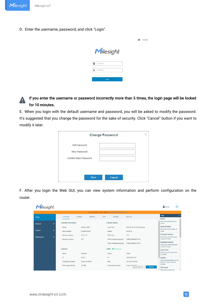D. Enter the username, password, and click "Login".

|   | Milesight |  |
|---|-----------|--|
|   | Usemame   |  |
| A | Password  |  |
|   | Login     |  |

**O** English

#### If you enter the username or password incorrectly more than 5 times, the login page will be locked A for 10 minutes.

E. When you login with the default username and password, you will be asked to modify the password. It's suggested that you change the password for the sake of security. Click "Cancel" button if you want to modify it later.

| <b>Change Password</b> | × |
|------------------------|---|
| Old Password           |   |
| New Password           |   |
| Confirm New Password   |   |
|                        |   |
|                        |   |
| Save<br>Cancel         |   |

F. After you login the Web GUI, you can view system information and perform configuration on the router.

|                              |                |                     |                  |                      |               | For your device security, please change the detault password! |                                                  |                                                         |
|------------------------------|----------------|---------------------|------------------|----------------------|---------------|---------------------------------------------------------------|--------------------------------------------------|---------------------------------------------------------|
| <b>Status</b>                |                | Overview            | Celtular         | Network              | <b>VPN</b>    | Routing                                                       | <b>Host List</b>                                 | Help                                                    |
|                              |                |                     |                  |                      |               |                                                               |                                                  | Model                                                   |
| Network                      | ٠              | System Information  |                  |                      |               | <b>System Status</b>                                          |                                                  | Show the model name of<br>router.                       |
|                              |                | Model               | UR32L-L00E0      |                      |               | Local Time                                                    | 2021-03-23 13:06:29 Tuesday                      | <b>Serial Number</b>                                    |
| ٠<br>System<br>Serial Number |                | 6224B1100592        |                  | Uptime               |               | 00:06:36                                                      | Show the serial number of<br>router              |                                                         |
|                              |                |                     |                  |                      |               |                                                               |                                                  | Firmware Version                                        |
| <b>Maintenance</b><br>٠      |                | Firmware Version    | 32.20.33         |                      | CPU Load      |                                                               | 11%                                              | Show the current firmware                               |
|                              |                | Hardware Version    | V21              |                      |               | RAM (Available/Capacity)                                      | 54MB/128MB(42.19%).                              | version of router.                                      |
|                              |                |                     |                  |                      |               | Flash (Available/Capacity)                                    | 91MB/128MB(71.09%)                               | <b>Hardware Version</b>                                 |
|                              |                |                     |                  |                      |               |                                                               |                                                  | Show the current hardware<br>version of router.         |
|                              |                | Cellular            |                  |                      |               | WAN Ushkin use                                                |                                                  | Local Time                                              |
|                              |                | Status              | Disabled         |                      | <b>Status</b> |                                                               | Online                                           | Show the current local time                             |
|                              |                |                     |                  |                      |               |                                                               |                                                  | of system.                                              |
|                              | IP.<br>0.0.0.0 |                     |                  | ip<br>192.168.22.119 |               |                                                               | Uptime                                           |                                                         |
|                              |                | Connection Duration | 0 days, 00:00:00 |                      | MAC           |                                                               | 24 e1:24 f1:6d:48                                | Show the information on how<br>long the router has been |
|                              |                |                     |                  |                      |               |                                                               |                                                  | running                                                 |
|                              |                | Data Usage Monthly  | 0.0 MiB          |                      |               | <b>Connection Duration</b>                                    | 0 days, 00-03-03.<br>Manual Refresh Y<br>Refresh | <b>CPU Load</b>                                         |
|                              |                |                     |                  |                      |               |                                                               |                                                  | * Show the current CPU                                  |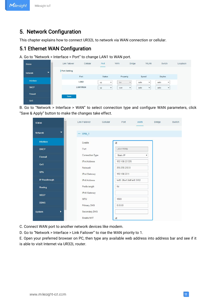### <span id="page-10-1"></span><span id="page-10-0"></span>5. Network Configuration

This chapter explains how to connect UR32L to network via WAN connection or cellular.

### 5.1 Ethernet WAN Configuration

A. Go to "Network > Interface > Port" to change LAN1 to WAN port.

| <b>Status</b>  |                          | Link Failover       | Cellular         | Port<br>_     | <b>WAN</b>          | <b>Bridge</b> |       | <b>WLAN</b>  | Switch |              | Loopback |
|----------------|--------------------------|---------------------|------------------|---------------|---------------------|---------------|-------|--------------|--------|--------------|----------|
| <b>Network</b> | $\overline{\phantom{a}}$ | <b>Port Setting</b> |                  |               |                     |               |       |              |        |              |          |
|                |                          |                     | Port             | <b>Status</b> |                     | Property      | Speed |              | Duplex |              |          |
| Interface      |                          |                     | LAN <sub>2</sub> | up            | lan<br>$\checkmark$ | $\checkmark$  | auto  | $\checkmark$ | auto   | $\checkmark$ |          |
| <b>DHCP</b>    |                          |                     | LAN1/WAN         | up            | wan<br>$\checkmark$ | $\checkmark$  | auto  | $\checkmark$ | auto   | $\checkmark$ |          |
| Firewall       |                          | Save                |                  |               |                     |               |       |              |        |              |          |
| QoS            |                          |                     |                  |               |                     |               |       |              |        |              |          |

B. Go to "Network > Interface > WAN" to select connection type and configure WAN parameters, click "Save & Apply" button to make the changes take effect.

| <b>Status</b>         | Link Failover           | Cellular | Port                          | <b>WAN</b> | Bridge Switch |
|-----------------------|-------------------------|----------|-------------------------------|------------|---------------|
| ▼<br><b>Network</b>   | $-$ WAN 1               |          |                               |            |               |
| Interface             | Enable                  |          | $\blacktriangleright$         |            |               |
| <b>DHCP</b>           | Port                    |          | LAN1/WAN                      |            |               |
| <b>Firewall</b>       | Connection Type         |          | Static IP                     | v          |               |
| QoS                   | <b>IPv4 Address</b>     |          | 192.168.22.225                |            |               |
| <b>VPN</b>            | Netmask<br>IPv4 Gateway |          | 255.255.255.0<br>192.168.22.1 |            |               |
| <b>IP Passthrough</b> | <b>IPv6</b> Address     |          | fe80::26e1:24ff:fef0:3192     |            |               |
| Routing               | Prefix-length           |          | 64                            |            |               |
| <b>VRRP</b>           | IPv6 Gateway            |          |                               |            |               |
| <b>DDNS</b>           | <b>MTU</b>              |          | 1500                          |            |               |
|                       | Primary DNS             |          | 8.8.8.8                       |            |               |
| ٠<br>System           | Secondary DNS           |          |                               |            |               |
|                       | Enable NAT              |          | $\overline{\mathcal{L}}$      |            |               |

C. Connect WAN port to another network devices like modem.

D. Go to "Network > Interface > Link Failover" to rise the WAN priority to 1.

E. Open your preferred browser on PC, then type any available web address into address bar and see if it is able to visit Internet via UR32L router.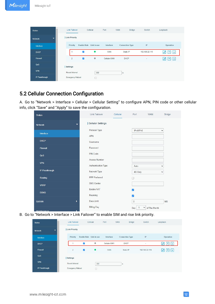<span id="page-11-0"></span>

| 业<br><b>Status</b>                         | <b>Link Failover</b>    | Cellular                  | Port          | <b>WAN</b><br><b>Bridge</b> | Switch                     | Loopback                             |
|--------------------------------------------|-------------------------|---------------------------|---------------|-----------------------------|----------------------------|--------------------------------------|
| $\overline{\phantom{a}}$<br><b>Network</b> | <b>Link Priority</b>    |                           |               |                             |                            |                                      |
| Interface                                  | Priority                | Enable Rule Link in use   | Interface     | <b>Connection Type</b>      | $\ensuremath{\mathsf{IP}}$ | Operation                            |
| <b>DHCP</b>                                |                         | $\blacktriangledown$<br>۰ | <b>WAN</b>    | Static IP                   | 192.168.22.119             | $\mathscr{O}_3$<br>个<br>$\downarrow$ |
| <b>Firewall</b>                            | $\overline{2}$          | $\circ$<br>Z              | Cellular-SIM1 | <b>DHCP</b>                 | ٠                          | $\overline{\mathbf{v}}$              |
| QoS                                        | <b>Settings</b>         |                           |               |                             |                            |                                      |
| <b>VPN</b>                                 | Revert Interval         | 300                       |               | s                           |                            |                                      |
| IP Passthrough                             | <b>Emergency Reboot</b> | о                         |               |                             |                            |                                      |

### 5.2 Cellular Connection Configuration

A. Go to "Network > Interface > Cellular > Cellular Setting" to configure APN, PIN code or other cellular info, click "Save" and "Apply" to save the configuration.

| <b>Status</b>       | <b>Link Failover</b>     | Cellular | Port             | <b>WAN</b>        | Bridge       |
|---------------------|--------------------------|----------|------------------|-------------------|--------------|
| ▼<br><b>Network</b> | <b>Cellular Settings</b> |          |                  |                   |              |
| Interface           | Protocol Type            |          | IPv4/IPv6        |                   | $\checkmark$ |
| <b>DHCP</b>         | <b>APN</b>               |          |                  |                   |              |
| <b>Firewall</b>     | Username<br>Password     |          |                  |                   |              |
| QoS                 | PIN Code                 |          |                  |                   |              |
| <b>VPN</b>          | Access Number            |          |                  |                   |              |
|                     | Authentication Type      |          | Auto             |                   | $\checkmark$ |
| IP Passthrough      | Network Type             |          | 4G Only          |                   | $\check{}$   |
| Routing             | <b>PPP</b> Preferred     |          |                  |                   |              |
| <b>VRRP</b>         | <b>SMS Center</b>        |          |                  |                   |              |
| <b>DDNS</b>         | Enable NAT               |          | M                |                   |              |
|                     | Roaming<br>Data Limit    |          | M                |                   |              |
| ×<br>System         | <b>Billing Day</b>       |          | $\boldsymbol{0}$ |                   | MB           |
| ь<br>Maintenance    |                          |          | Day              | v<br>of The Month |              |

B. Go to "Network > Interface > Link Failover" to enable SIM and rise link priority.

| æ.<br><b>Status</b>                        | <b>Link Failover</b>    |                         | Cellular | Port          | <b>WAN</b>             | <b>Bridge</b> | Switch         | Loopback                                    |
|--------------------------------------------|-------------------------|-------------------------|----------|---------------|------------------------|---------------|----------------|---------------------------------------------|
| $\overline{\phantom{a}}$<br><b>Network</b> | <b>Link Priority</b>    |                         |          |               |                        |               |                |                                             |
| Interface                                  | Priority                | Enable Rule Link in use |          | Interface     | <b>Connection Type</b> |               | IP             | Operation                                   |
| <b>DHCP</b>                                |                         | $\blacktriangledown$    | ø        | Cellular-SIM1 | <b>DHCP</b>            |               |                | $ + $                                       |
| <b>Firewall</b>                            | $\overline{2}$          | Z                       | ۰        | <b>WAN</b>    | Static IP              |               | 192.168.22.119 | $\uparrow$<br>$\downarrow$<br>$\mathscr{A}$ |
| QoS                                        | <b>Settings</b>         |                         |          |               |                        |               |                |                                             |
| <b>VPN</b>                                 | Revert Interval         |                         | 300      |               | s                      |               |                |                                             |
| IP Passthrough                             | <b>Emergency Reboot</b> |                         | O        |               |                        |               |                |                                             |